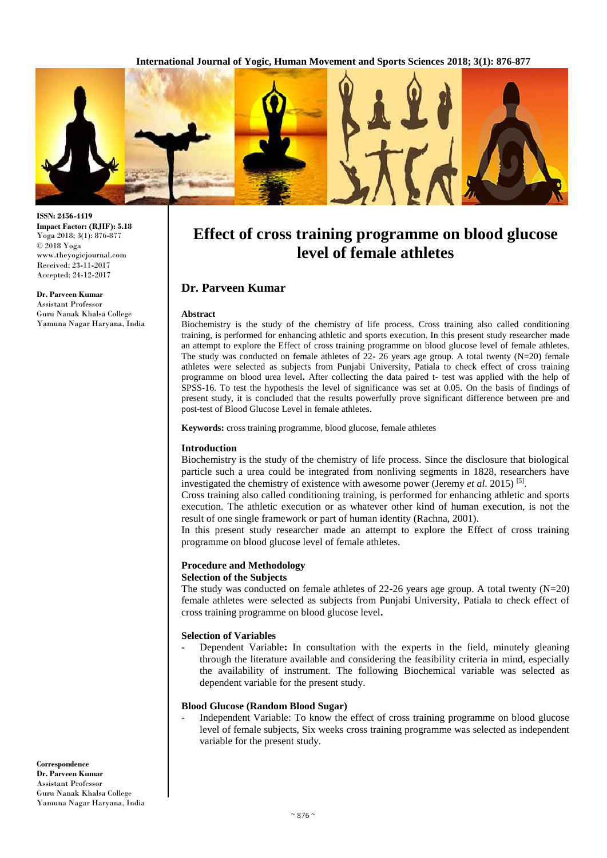**International Journal of Yogic, Human Movement and Sports Sciences 2018; 3(1): 876-877**



**ISSN: 2456-4419 Impact Factor: (RJIF): 5.18** Yoga 2018; 3(1): 876-877 © 2018 Yoga www.theyogicjournal.com Received: 23**-**11**-**2017 Accepted: 24**-**12**-**2017

**Dr. Parveen Kumar** Assistant Professor Guru Nanak Khalsa College Yamuna Nagar Haryana, India

# **Effect of cross training programme on blood glucose level of female athletes**

# **Dr. Parveen Kumar**

#### **Abstract**

Biochemistry is the study of the chemistry of life process. Cross training also called conditioning training, is performed for enhancing athletic and sports execution. In this present study researcher made an attempt to explore the Effect of cross training programme on blood glucose level of female athletes. The study was conducted on female athletes of 22**-** 26 years age group. A total twenty (N=20) female athletes were selected as subjects from Punjabi University, Patiala to check effect of cross training programme on blood urea level**.** After collecting the data paired t**-** test was applied with the help of SPSS**-**16. To test the hypothesis the level of significance was set at 0.05. On the basis of findings of present study, it is concluded that the results powerfully prove significant difference between pre and post**-**test of Blood Glucose Level in female athletes.

**Keywords:** cross training programme, blood glucose, female athletes

#### **Introduction**

Biochemistry is the study of the chemistry of life process. Since the disclosure that biological particle such a urea could be integrated from nonliving segments in 1828, researchers have investigated the chemistry of existence with awesome power (Jeremy *et al.* 2015)<sup>[5]</sup>.

Cross training also called conditioning training, is performed for enhancing athletic and sports execution. The athletic execution or as whatever other kind of human execution, is not the result of one single framework or part of human identity (Rachna, 2001).

In this present study researcher made an attempt to explore the Effect of cross training programme on blood glucose level of female athletes.

#### **Procedure and Methodology Selection of the Subjects**

# The study was conducted on female athletes of 22**-**26 years age group. A total twenty (N=20) female athletes were selected as subjects from Punjabi University, Patiala to check effect of cross training programme on blood glucose level**.**

#### **Selection of Variables**

Dependent Variable: In consultation with the experts in the field, minutely gleaning through the literature available and considering the feasibility criteria in mind, especially the availability of instrument. The following Biochemical variable was selected as dependent variable for the present study.

## **Blood Glucose (Random Blood Sugar)**

Independent Variable: To know the effect of cross training programme on blood glucose level of female subjects, Six weeks cross training programme was selected as independent variable for the present study.

**Correspondence Dr. Parveen Kumar** Assistant Professor Guru Nanak Khalsa College Yamuna Nagar Haryana, India